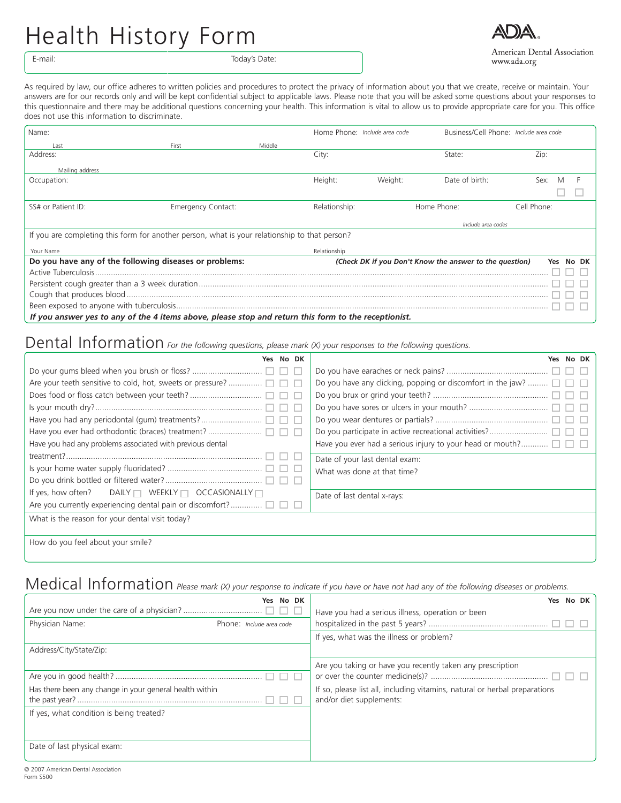## Health History Form



American Dental Association www.ada.org

E-mail: Today's Date:

As required by law, our office adheres to written policies and procedures to protect the privacy of information about you that we create, receive or maintain. Your answers are for our records only and will be kept confidential subject to applicable laws. Please note that you will be asked some questions about your responses to this questionnaire and there may be additional questions concerning your health. This information is vital to allow us to provide appropriate care for you. This office does not use this information to discriminate.

| Name:                                                                                                |                           |        | Home Phone: Include area code                                           |         | Business/Cell Phone: Include area code |             |  |  |
|------------------------------------------------------------------------------------------------------|---------------------------|--------|-------------------------------------------------------------------------|---------|----------------------------------------|-------------|--|--|
| l ast                                                                                                | First                     | Middle |                                                                         |         |                                        |             |  |  |
| Address:                                                                                             |                           |        | City:                                                                   |         | State:                                 | Zip:        |  |  |
| Mailing address                                                                                      |                           |        |                                                                         |         |                                        |             |  |  |
| Occupation:                                                                                          |                           |        | Height:                                                                 | Weight: | Date of birth:                         | Sex:        |  |  |
|                                                                                                      |                           |        |                                                                         |         |                                        |             |  |  |
| SS# or Patient ID:                                                                                   | <b>Emergency Contact:</b> |        | Relationship:                                                           |         | Home Phone:                            | Cell Phone: |  |  |
|                                                                                                      |                           |        |                                                                         |         | Include area codes                     |             |  |  |
| If you are completing this form for another person, what is your relationship to that person?        |                           |        |                                                                         |         |                                        |             |  |  |
| Your Name                                                                                            |                           |        | Relationship                                                            |         |                                        |             |  |  |
| Do you have any of the following diseases or problems:                                               |                           |        | (Check DK if you Don't Know the answer to the question)<br>No DK<br>Yes |         |                                        |             |  |  |
|                                                                                                      |                           |        |                                                                         |         |                                        |             |  |  |
|                                                                                                      |                           |        |                                                                         |         |                                        |             |  |  |
|                                                                                                      |                           |        |                                                                         |         |                                        |             |  |  |
|                                                                                                      |                           |        |                                                                         |         |                                        |             |  |  |
| If you answer yes to any of the 4 items above, please stop and return this form to the receptionist. |                           |        |                                                                         |         |                                        |             |  |  |

## Dental Information *For the following questions, please mark (X) your responses to the following questions.*

| No DK                                                                | No DK                                                            |  |  |  |
|----------------------------------------------------------------------|------------------------------------------------------------------|--|--|--|
|                                                                      |                                                                  |  |  |  |
|                                                                      | Do you have any clicking, popping or discomfort in the jaw?      |  |  |  |
|                                                                      |                                                                  |  |  |  |
|                                                                      |                                                                  |  |  |  |
|                                                                      |                                                                  |  |  |  |
|                                                                      |                                                                  |  |  |  |
| Have you had any problems associated with previous dental            | Have you ever had a serious injury to your head or mouth? $\Box$ |  |  |  |
|                                                                      | Date of your last dental exam:                                   |  |  |  |
|                                                                      | What was done at that time?                                      |  |  |  |
|                                                                      |                                                                  |  |  |  |
| If yes, how often?<br>DAILY $\Box$ WEEKLY $\Box$ OCCASIONALLY $\Box$ | Date of last dental x-rays:                                      |  |  |  |
| Are you currently experiencing dental pain or discomfort? $\Box$     |                                                                  |  |  |  |
| What is the reason for your dental visit today?                      |                                                                  |  |  |  |
|                                                                      |                                                                  |  |  |  |
| How do you fool about your cmile?                                    |                                                                  |  |  |  |

How do you feel about your smile?

## Medical Information *Please mark (X) your response to indicate if you have or have not had any of the following diseases or problems.*

|                                                         | No DK<br>Yes             | Yes No DK                                                                  |  |  |  |
|---------------------------------------------------------|--------------------------|----------------------------------------------------------------------------|--|--|--|
|                                                         |                          | Have you had a serious illness, operation or been                          |  |  |  |
| Physician Name:                                         | Phone: Include area code |                                                                            |  |  |  |
|                                                         |                          | If yes, what was the illness or problem?                                   |  |  |  |
| Address/City/State/Zip:                                 |                          |                                                                            |  |  |  |
|                                                         |                          | Are you taking or have you recently taken any prescription                 |  |  |  |
|                                                         |                          |                                                                            |  |  |  |
| Has there been any change in your general health within |                          | If so, please list all, including vitamins, natural or herbal preparations |  |  |  |
|                                                         |                          | and/or diet supplements:                                                   |  |  |  |
| If yes, what condition is being treated?                |                          |                                                                            |  |  |  |
|                                                         |                          |                                                                            |  |  |  |
|                                                         |                          |                                                                            |  |  |  |
| Date of last physical exam:                             |                          |                                                                            |  |  |  |
|                                                         |                          |                                                                            |  |  |  |